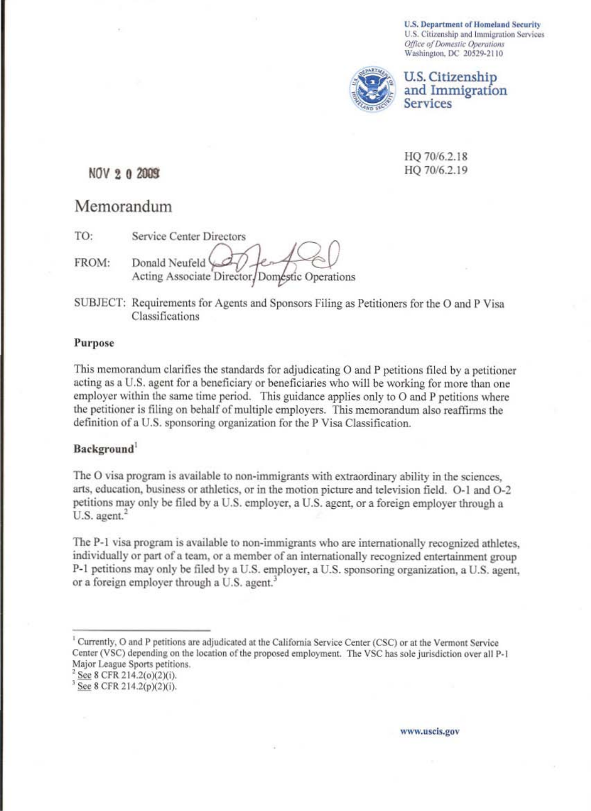**U.S. Department of Homeland Security** U.S. Citizenship and Immigration Services Office of Domestic Operations Washington, DC 20529-2110



U.S. Citizenship and Immigration **Services** 

HQ 70/6.2.18 HQ 70/6.2.19

## NOV 2 0 2009

# Memorandum

TO: Service Center Directors

FROM: Donald Neufeld Acting Associate Director/Doméstic Operations

SUBJECT: Requirements for Agents and Sponsors Filing as Petitioners for the O and P Visa Classifications

## Purpose

This memorandum clarifies the standards for adjudicating O and P petitions filed by a petitioner acting as a U.S. agent for a beneficiary or beneficiaries who will be working for more than one employer within the same time period. This guidance applies only to O and P petitions where the petitioner is filing on behalf of multiple employers. This memorandum also reaffirms the definition of a U.S. sponsoring organization for the P Visa Classification.

## Background<sup>1</sup>

The O visa program is available to non-immigrants with extraordinary ability in the sciences, arts, education, business or athletics, or in the motion picture and television field. O-1 and O-2 petitions may only be filed by a U.S. employer, a U.S. agent, or a foreign employer through a U.S. agent.<sup>2</sup>

The P-1 visa program is available to non-immigrants who are internationally recognized athletes. individually or part of a team, or a member of an internationally recognized entertainment group P-1 petitions may only be filed by a U.S. employer, a U.S. sponsoring organization, a U.S. agent, or a foreign employer through a U.S. agent.<sup>3</sup>

www.uscis.gov

<sup>&</sup>lt;sup>1</sup> Currently, O and P petitions are adjudicated at the California Service Center (CSC) or at the Vermont Service Center (VSC) depending on the location of the proposed employment. The VSC has sole jurisdiction over all P-1 Major League Sports petitions.

 $2$  See 8 CFR 214.2(o)(2)(i).

See 8 CFR 214.2(p)(2)(i).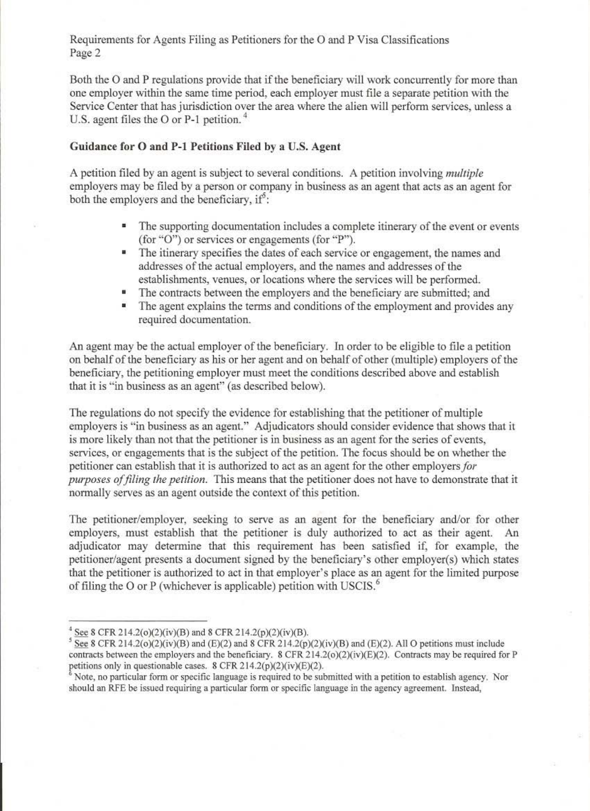Requirements for Agents Filing as Petitioners for the 0 and P Visa Classifications Page 2

Both the 0 and P regulations provide that if the beneficiary will work concurrently for more than onc employer within thc same time period, each employer must file a separate petition with the Service Center that has jurisdiction over the area where the alien will perform services, unless a U.S. agent files the  $O$  or P-1 petition.<sup>4</sup>

## Guidance for O and P-1 Petitions Filed by a U.S. Agent

A petition filed by an agent is subject to several conditions. A petition involving *multiple*  employers may be filed by a person or company in business as an agent that acts as an agent for both the employers and the beneficiary, if<sup>5</sup>:

- The supporting documentation includes a complete itinerary of the event or events (for "O") or services or engagements (for "P").
- The itinerary specifies the dates of each service or engagement, the names and addresses of the actual employers, and the names and addresses of the establishments, venues, or locations where the services will be performcd.
- The contracts between the employers and the beneficiary are submitted; and
- The agent explains the terms and conditions of the employment and provides any required documentation.

An agent may be the actual employer of the beneficiary. In order to be eligible to filc a petition on behalf of the beneficiary as his or her agent and on behalf of other (multiple) employers of the beneficiary, the petitioning employer must meet the conditions described above and establish that it is "in business as an agent" (as described below).

The regulations do not specify the evidence for establishing that the petitioner of multiple employers is "in business as an agent." Adjudicators should consider evidence that shows that it is more likely than not that the petitioner is in business as an agent for the series of events, services, or engagements that is the subject of the petition. The focus should be on whether the petitioner can establish that it is authorized to act as an agcm for thc other employers *for purposes of filing the petition.* This means that the petitioner does not have to demonstrate that it normally serves as an agent outside the context of this petition.

The petitioner/employer, seeking to serve as an agent for the beneficiary and/or for other employers, must establish that the petitioner is duly authorized to act as their agent. An adjudicator may detennine that this requirement has been satisfied if, for example, the petitioner/agent presents a document signed by the beneficiary's other employer(s) which states that the petitioner is authorized to act in that employer's place as an agent for the limited purpose of filing the O or P (whichever is applicable) petition with USCIS. $\frac{6}{5}$ 

 $^{4}$  See 8 CFR 214.2(o)(2)(iv)(B) and 8 CFR 214.2(p)(2)(iv)(B).

 $\frac{1}{2}$  See 8 CFR 214.2(o)(2)(iv)(B) and (E)(2) and 8 CFR 214.2(p)(2)(iv)(B) and (E)(2). All O petitions must include contracts between the employers and the beneficiary. 8 CFR 214.2(o)(2)(iv)(E)(2). Contracts may be required for P petitions only in questionable cases. 8 CFR 214.2(p)(2)(iv)(E)(2).

Note, no particular form or specific language is required to be submitted with a petition to establish agency. Nor should an RFE be issued requiring a particular form or specific language in the agency agreement. Instead,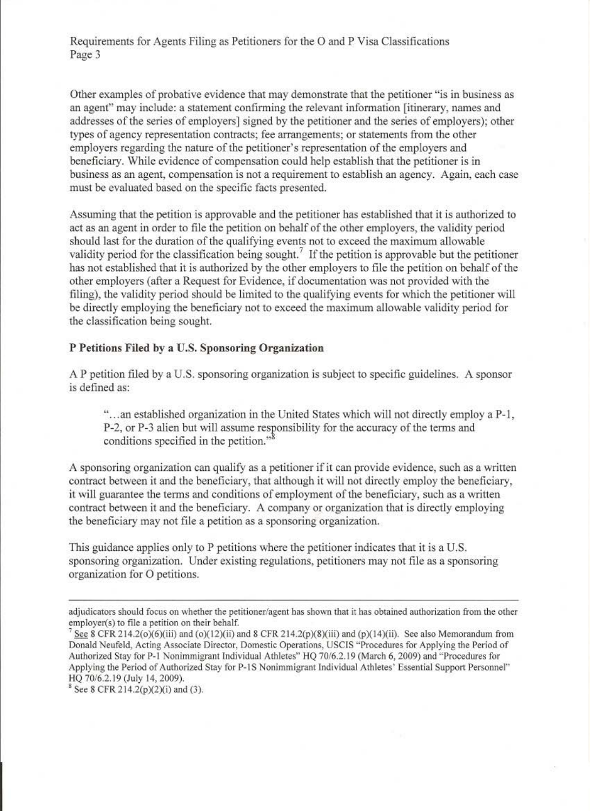Requirements for Agents Filing as Petitioners for the 0 and P Visa Classifications Page 3

Other examples of probative evidence that may demonstrate that the petitioner "is in business as an agent" may include: a statement confirming the relevant information [itinerary, names and addresses of the series of employers] signed by the petitioner and the series of employers); other types of agency representation contracts; fee arrangements; or statements from the other employers regarding the nature of the petitioner's representation of the employers and beneficiary. While evidence of compensation could help establish that the petitioner is in business as an agent, compensation is not a requirement to establish an agency. Again, each case must be evaluated based on the specific facts presented.

Assuming that the petition is approvable and the petitioner has established that it is authorized to act as an agent in order to file the petition on behalf of the other employers, the validity period should last for the duration of the qualifying events not to exceed the maximum allowable validity period for the classification being sought.<sup>7</sup> If the petition is approvable but the petitioner has not established that it is authorized by the other employers to file the petition on behalf of the other employers (after a Request for Evidence, if documentation was not provided with the filing), the validity period should be limited to the qualifying events for which the petitioner will be directly employing the beneficiary not to exceed the maximum allowable validity period for the classification being sought.

## P Petitions Filed by a U.S. Sponsoring Organization

A P petition filed by a U.S. sponsoring organization is subject to specific guidelines. A sponsor is defined as:

"...an established organization in the United States which will not directly employ a P-1. P-2. or P-3 alien but will assume responsibility for the accuracy of the terms and conditions specified in the petition."<sup>8</sup>

A sponsoring organization can qualify as a petitioner if it can provide evidence, such as a written contract between it and the beneficiary, that although it will not directly employ the beneficiary, it will guarantee the terms and conditions of employment of the beneficiary, such as a written contract between it and the beneficiary. A company or organization that is directly employing the beneficiary may not file a petition as a sponsoring organization.

This guidance applies only to P petitions where the petitioner indicates that it is a U.S. sponsoring organization. Under existing regulations. petitioners may not file as a sponsoring organization for 0 petitions .

adjudicators should focus on whether the petitioner/agent has shown that it has obtained authorization from the other employer(s) to file a petition on their behalf.

See 8 CFR 214.2(0)(6)(iii) and (0)(12)(ii) and 8 CFR 214.2(p)(8)(iii) and (p)(14)(ii). See also Memorandum from Donald Neufeld, Acting Associate Director, Domestic Operations, USCIS "Procedures for Applying the Period of Authorized Stay for P-1 Nonimmigrant Individual Athletes" HQ 70/6.2.19 (March 6, 2009) and "Procedures for Applying the Period of Authorized Stay for P-1S Nonimmigrant Individual Athletes' Essential Support Personnel" HQ 70/6.2.19 (July 14, 2009).

 $8$  See 8 CFR 214.2(p)(2)(i) and (3).